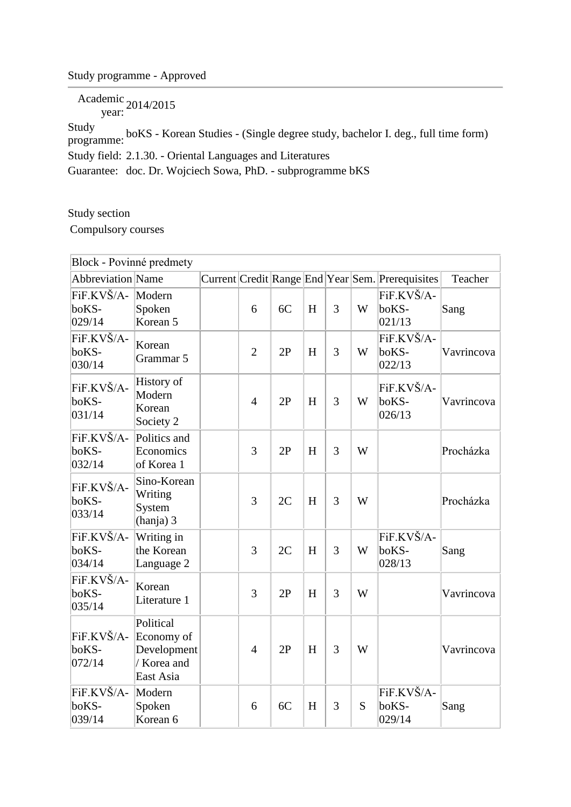## Study programme - Approved

Academic year: 2014/2015

Study programme: boKS - Korean Studies - (Single degree study, bachelor I. deg., full time form) Study field: 2.1.30. - Oriental Languages and Literatures Guarantee: doc. Dr. Wojciech Sowa, PhD. - subprogramme bKS

Study section

Compulsory courses

| Block - Povinné predmety      |                                                                    |  |                |    |   |   |   |                                                  |            |
|-------------------------------|--------------------------------------------------------------------|--|----------------|----|---|---|---|--------------------------------------------------|------------|
| Abbreviation Name             |                                                                    |  |                |    |   |   |   | Current Credit Range End Year Sem. Prerequisites | Teacher    |
| FiF.KVŠ/A-<br>boKS-<br>029/14 | Modern<br>Spoken<br>Korean 5                                       |  | 6              | 6C | H | 3 | W | FiF.KVŠ/A-<br>boKS-<br>021/13                    | Sang       |
| FiF.KVŠ/A-<br>boKS-<br>030/14 | Korean<br>Grammar 5                                                |  | $\overline{2}$ | 2P | H | 3 | W | FiF.KVŠ/A-<br>boKS-<br>022/13                    | Vavrincova |
| FiF.KVŠ/A-<br>boKS-<br>031/14 | History of<br>Modern<br>Korean<br>Society 2                        |  | $\overline{4}$ | 2P | H | 3 | W | FiF.KVŠ/A-<br>boKS-<br>026/13                    | Vavrincova |
| FiF.KVŠ/A-<br>boKS-<br>032/14 | Politics and<br>Economics<br>of Korea 1                            |  | 3              | 2P | H | 3 | W |                                                  | Procházka  |
| FiF.KVŠ/A-<br>boKS-<br>033/14 | Sino-Korean<br>Writing<br>System<br>(hanja) 3                      |  | 3              | 2C | H | 3 | W |                                                  | Procházka  |
| FiF.KVŠ/A-<br>boKS-<br>034/14 | Writing in<br>the Korean<br>Language 2                             |  | 3              | 2C | H | 3 | W | FiF.KVŠ/A-<br>boKS-<br>028/13                    | Sang       |
| FiF.KVŠ/A-<br>boKS-<br>035/14 | Korean<br>Literature 1                                             |  | 3              | 2P | H | 3 | W |                                                  | Vavrincova |
| FiF.KVŠ/A-<br>boKS-<br>072/14 | Political<br>Economy of<br>Development<br>/ Korea and<br>East Asia |  | $\overline{4}$ | 2P | H | 3 | W |                                                  | Vavrincova |
| FiF.KVŠ/A-<br>boKS-<br>039/14 | Modern<br>Spoken<br>Korean 6                                       |  | 6              | 6C | H | 3 | S | FiF.KVŠ/A-<br>boKS-<br>029/14                    | Sang       |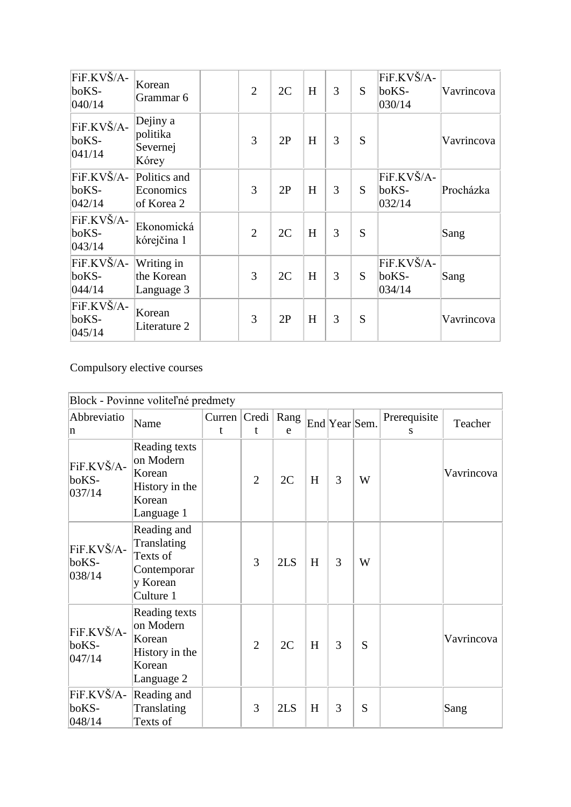| FiF.KVŠ/A-<br>boKS-<br>040/14 | Korean<br>Grammar 6                       | $\overline{2}$ | 2C | H | 3 | S | FiF.KVŠ/A-<br>boKS-<br>030/14 | Vavrincova |
|-------------------------------|-------------------------------------------|----------------|----|---|---|---|-------------------------------|------------|
| FiF.KVŠ/A-<br>boKS-<br>041/14 | Dejiny a<br>politika<br>Severnej<br>Kórey | 3              | 2P | H | 3 | S |                               | Vavrincova |
| FiF.KVŠ/A-<br>boKS-<br>042/14 | Politics and<br>Economics<br>of Korea 2   | 3              | 2P | H | 3 | S | FiF.KVŠ/A-<br>boKS-<br>032/14 | Procházka  |
| FiF.KVŠ/A-<br>boKS-<br>043/14 | Ekonomická<br>kórejčina 1                 | $\overline{2}$ | 2C | H | 3 | S |                               | Sang       |
| FiF.KVŠ/A-<br>boKS-<br>044/14 | Writing in<br>the Korean<br>Language 3    | $\overline{3}$ | 2C | H | 3 | S | FiF.KVŠ/A-<br>boKS-<br>034/14 | Sang       |
| FiF.KVŠ/A-<br>boKS-<br>045/14 | Korean<br>Literature 2                    | 3              | 2P | H | 3 | S |                               | Vavrincova |

Compulsory elective courses

| Block - Povinne voliteľné predmety |                                                                                |             |                   |     |   |               |   |                   |            |
|------------------------------------|--------------------------------------------------------------------------------|-------------|-------------------|-----|---|---------------|---|-------------------|------------|
| Abbreviatio<br>n                   | Name                                                                           | Curren<br>t | Credi   Rang<br>t | e   |   | End Year Sem. |   | Prerequisite<br>S | Teacher    |
| FiF.KVŠ/A-<br>boKS-<br>037/14      | Reading texts<br>on Modern<br>Korean<br>History in the<br>Korean<br>Language 1 |             | $\overline{2}$    | 2C  | H | 3             | W |                   | Vavrincova |
| FiF.KVŠ/A-<br>boKS-<br>038/14      | Reading and<br>Translating<br>Texts of<br>Contemporar<br>y Korean<br>Culture 1 |             | 3                 | 2LS | H | 3             | W |                   |            |
| FiF.KVŠ/A-<br>boKS-<br>047/14      | Reading texts<br>on Modern<br>Korean<br>History in the<br>Korean<br>Language 2 |             | $\overline{2}$    | 2C  | H | 3             | S |                   | Vavrincova |
| FiF.KVŠ/A-<br>boKS-<br>048/14      | Reading and<br>Translating<br>Texts of                                         |             | 3                 | 2LS | H | 3             | S |                   | Sang       |